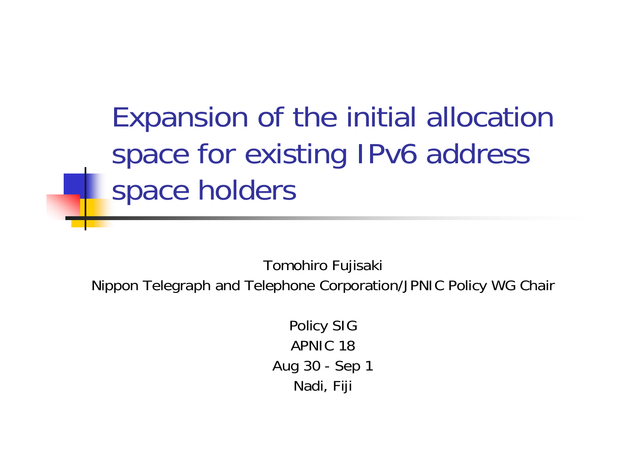Expansion of the initial allocation space for existing IPv6 address space holders

Tomohiro Fujisaki

Nippon Telegraph and Telephone Corporation/JPNIC Policy WG Chair

Policy SIG APNIC 18Aug 30 - Sep 1 Nadi, Fiji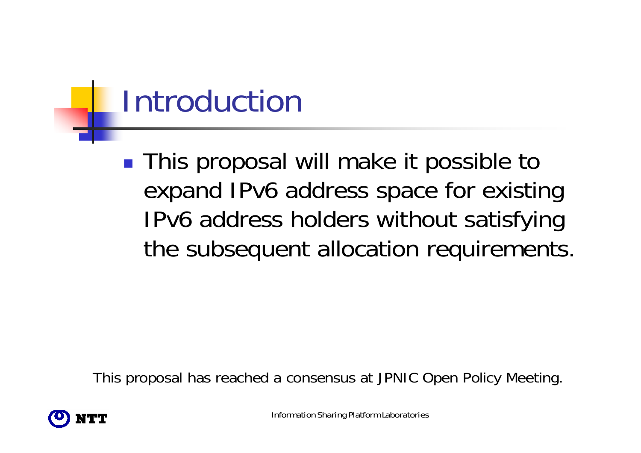### Introduction

■ This proposal will make it possible to expand IPv6 address space for existing IPv6 address holders without satisfying the subsequent allocation requirements.

This proposal has reached a consensus at JPNIC Open Policy Meeting.



Information Sharing Platform Laboratories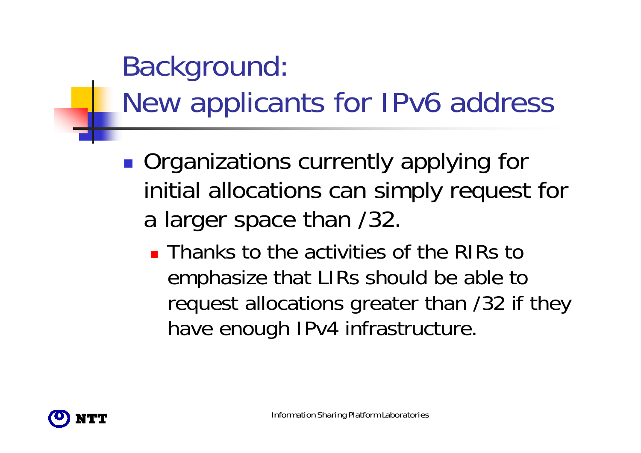### Background: New applicants for IPv6 address

- **Organizations currently applying for** initial allocations can simply request for a larger space than /32.
	- **Thanks to the activities of the RIRs to** emphasize that LIRs should be able to request allocations greater than /32 if they have enough IPv4 infrastructure.

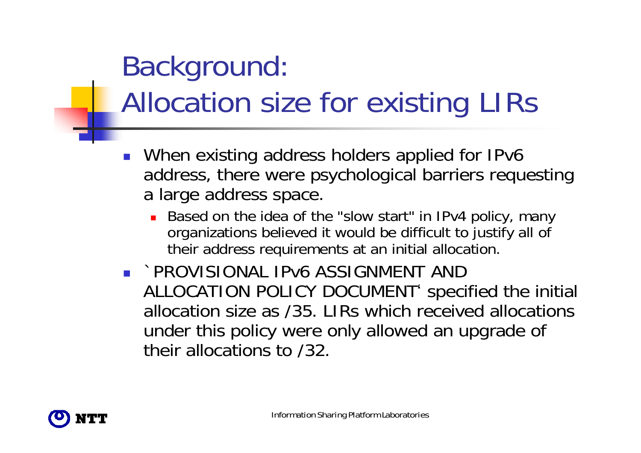#### Background: Allocation size for existing LIRs

- When existing address holders applied for IPv6 address, there were psychological barriers requesting a large address space.
	- Based on the idea of the "slow start" in IPv4 policy, many organizations believed it would be difficult to justify all of their address requirements at an initial allocation.
- `PROVISIONAL IPv6 ASSIGNMENT AND ALLOCATION POLICY DOCUMENT' specified the initial allocation size as /35. LIRs which received allocations under this policy were only allowed an upgrade of their allocations to /32.

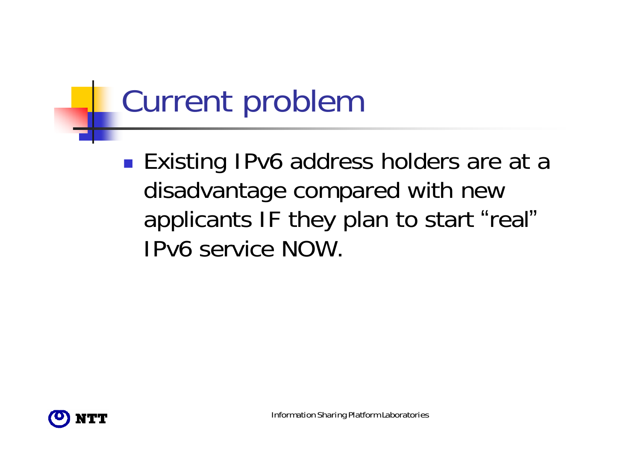# Current problem

■ Existing IPv6 address holders are at a disadvantage compared with new applicants IF they plan to start "real "IPv6 service NOW.

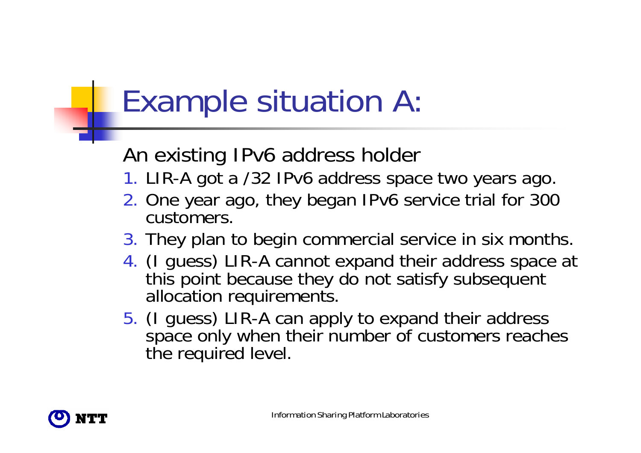## Example situation A:

#### An existing IPv6 address holder

- 1. LIR-A got a /32 IPv6 address space two years ago.
- 2. One year ago, they began IPv6 service trial for 300 customers.
- 3. They plan to begin commercial service in six months.
- 4. (I guess) LIR-A cannot expand their address space at this point because they do not satisfy subsequent allocation requirements.
- 5. (I guess) LIR-A can apply to expand their address space only when their number of customers reaches the required level.

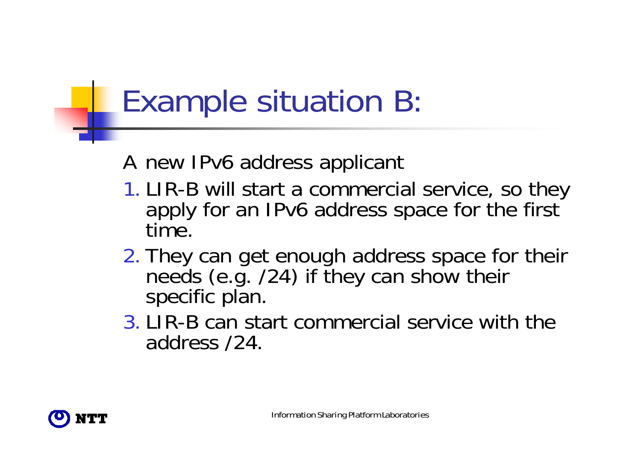### Example situation B:

#### A new IPv6 address applicant

- 1. LIR-B will start a commercial service, so they apply for an IPv6 address space for the first time.
- 2. They can get enough address space for their needs (e.g. /24) if they can show their specific plan.
- 3. LIR-B can start commercial service with the address /24.

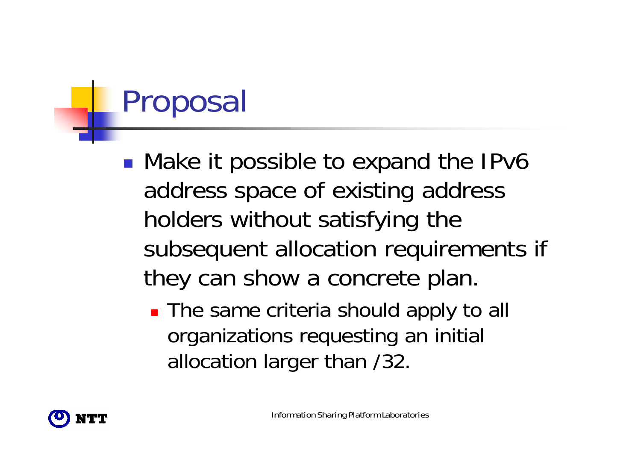## Proposal

■ Make it possible to expand the IPv6 address space of existing address holders without satisfying the subsequent allocation requirements if they can show a concrete plan.

■ The same criteria should apply to all organizations requesting an initial allocation larger than /32.

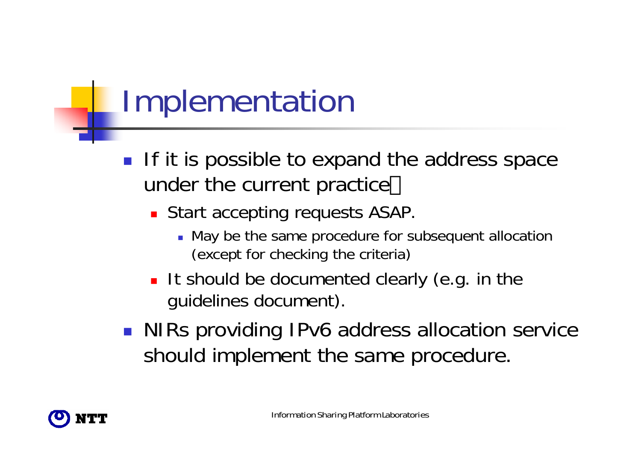## Implementation

- $\mathcal{L}_{\mathcal{A}}$  If it is possible to expand the address space under the current practice
	- **Start accepting requests ASAP.** 
		- May be the same procedure for subsequent allocation (except for checking the criteria)
	- It should be documented clearly (e.g. in the guidelines document).
- NIRs providing IPv6 address allocation service should implement the same procedure.

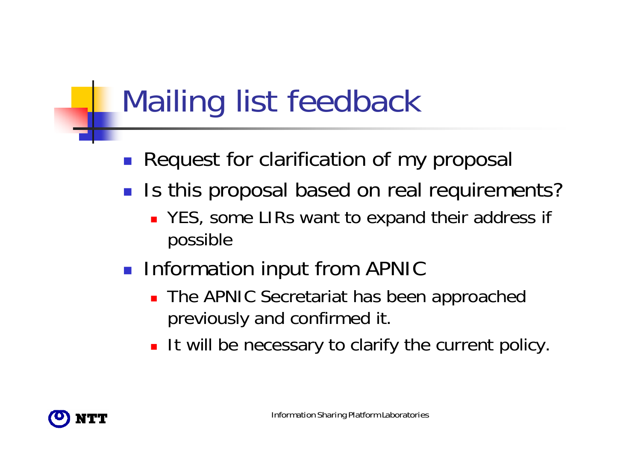### Mailing list feedback

- $\mathcal{L}_{\mathcal{A}}$ Request for clarification of my proposal
- Is this proposal based on real requirements?
	- YES, some LIRs want to expand their address if possible
- **Information input from APNIC** 
	- **The APNIC Secretariat has been approached** previously and confirmed it.
	- **It will be necessary to clarify the current policy.**